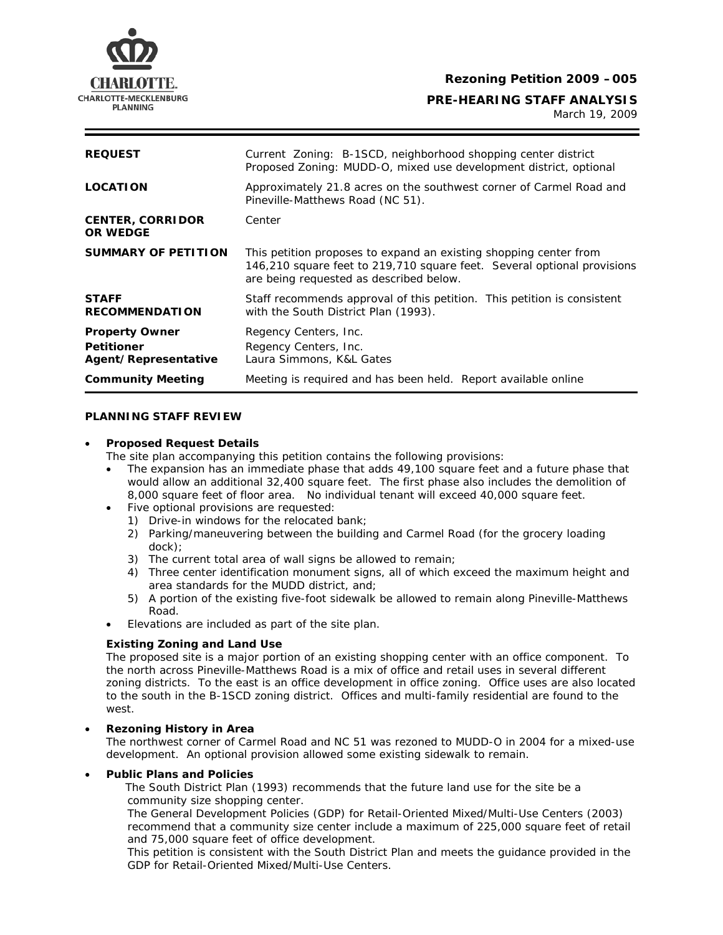

**Rezoning Petition 2009 –005** 

**CHARLOTTE-MECKLENBURG**<br>PLANNING PLANNING

March 19, 2009

| <b>REQUEST</b>                                                     | Current Zoning: B-1SCD, neighborhood shopping center district<br>Proposed Zoning: MUDD-O, mixed use development district, optional                                                      |
|--------------------------------------------------------------------|-----------------------------------------------------------------------------------------------------------------------------------------------------------------------------------------|
| <b>LOCATION</b>                                                    | Approximately 21.8 acres on the southwest corner of Carmel Road and<br>Pineville-Matthews Road (NC 51).                                                                                 |
| <b>CENTER, CORRIDOR</b><br><b>OR WEDGE</b>                         | Center                                                                                                                                                                                  |
| <b>SUMMARY OF PETITION</b>                                         | This petition proposes to expand an existing shopping center from<br>146,210 square feet to 219,710 square feet. Several optional provisions<br>are being requested as described below. |
| <b>STAFF</b><br><b>RECOMMENDATION</b>                              | Staff recommends approval of this petition. This petition is consistent<br>with the <i>South District Plan</i> (1993).                                                                  |
| <b>Property Owner</b><br><b>Petitioner</b><br>Agent/Representative | Regency Centers, Inc.<br>Regency Centers, Inc.<br>Laura Simmons, K&L Gates                                                                                                              |
| <b>Community Meeting</b>                                           | Meeting is required and has been held. Report available online                                                                                                                          |

# **PLANNING STAFF REVIEW**

## • **Proposed Request Details**

The site plan accompanying this petition contains the following provisions:

- The expansion has an immediate phase that adds 49,100 square feet and a future phase that would allow an additional 32,400 square feet. The first phase also includes the demolition of 8,000 square feet of floor area. No individual tenant will exceed 40,000 square feet.
- Five optional provisions are requested:
	- 1) Drive-in windows for the relocated bank;
	- 2) Parking/maneuvering between the building and Carmel Road (for the grocery loading dock);
	- 3) The current total area of wall signs be allowed to remain;
	- 4) Three center identification monument signs, all of which exceed the maximum height and area standards for the MUDD district, and;
	- 5) A portion of the existing five-foot sidewalk be allowed to remain along Pineville-Matthews Road.
- Elevations are included as part of the site plan.

## **Existing Zoning and Land Use**

The proposed site is a major portion of an existing shopping center with an office component. To the north across Pineville-Matthews Road is a mix of office and retail uses in several different zoning districts. To the east is an office development in office zoning. Office uses are also located to the south in the B-1SCD zoning district. Offices and multi-family residential are found to the west.

## • **Rezoning History in Area**

The northwest corner of Carmel Road and NC 51 was rezoned to MUDD-O in 2004 for a mixed-use development. An optional provision allowed some existing sidewalk to remain.

### • **Public Plans and Policies**

The *South District Plan* (1993) recommends that the future land use for the site be a community size shopping center.

The *General Development Policies (GDP) for* Retail-Oriented Mixed/Multi-Use Centers (2003) recommend that a community size center include a maximum of 225,000 square feet of retail and 75,000 square feet of office development.

This petition is consistent with the *South District Plan* and meets the guidance provided in the *GDP* for Retail-Oriented Mixed/Multi-Use Centers.